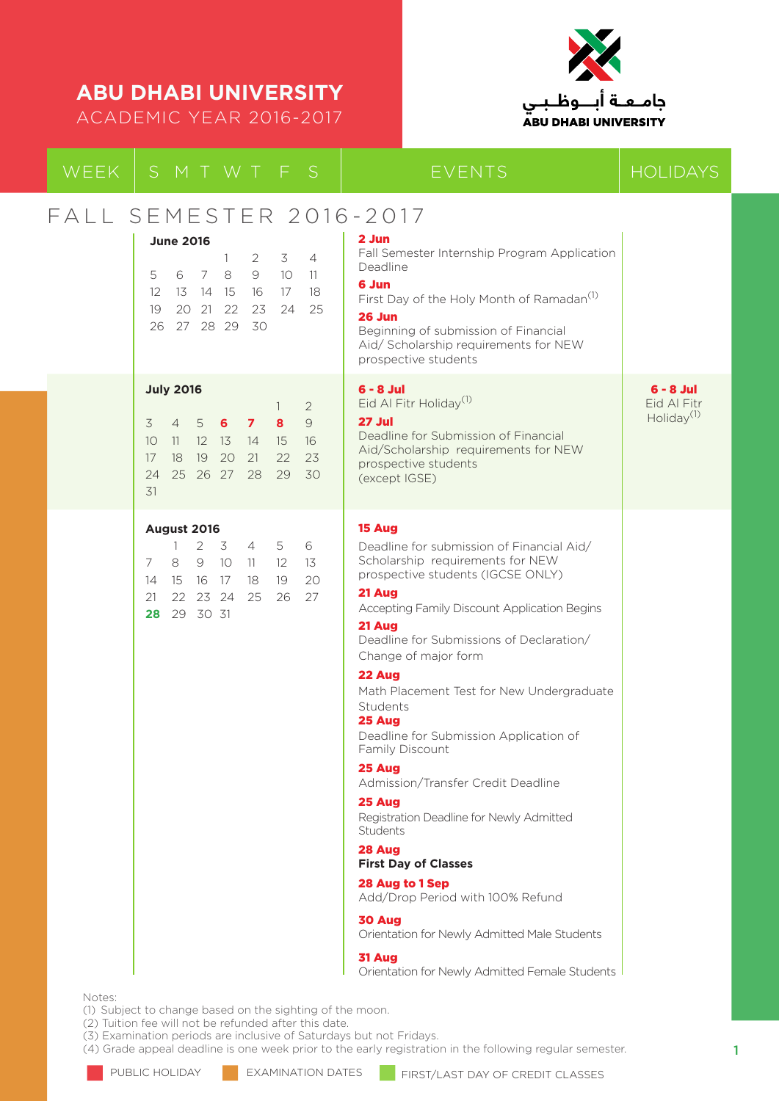ACADEMIC YEAR 2016-2017



| WEEK   | SMTWTFS                                                                                                                                                                                                                                        | <b>EVENTS</b>                                                                                                                                                                                                                                                                                                                                                                                                                                                                                                                                                                                                                                                                                                                                          | <b>HOLIDAYS</b>                                      |
|--------|------------------------------------------------------------------------------------------------------------------------------------------------------------------------------------------------------------------------------------------------|--------------------------------------------------------------------------------------------------------------------------------------------------------------------------------------------------------------------------------------------------------------------------------------------------------------------------------------------------------------------------------------------------------------------------------------------------------------------------------------------------------------------------------------------------------------------------------------------------------------------------------------------------------------------------------------------------------------------------------------------------------|------------------------------------------------------|
|        | FALL SEMESTER 2016-2017<br><b>June 2016</b><br>3<br>$\overline{4}$<br>2<br>1.<br>7<br>8<br>9<br>10 <sup>°</sup><br>11<br>5<br>6<br>13 14 15<br>16 17<br>18<br>$12 \overline{ }$<br>25<br>19<br>20 21<br>22<br>23<br>24<br>27 28 29<br>30<br>26 | 2 Jun<br>Fall Semester Internship Program Application<br>Deadline<br>6 Jun<br>First Day of the Holy Month of Ramadan <sup>(1)</sup><br><b>26 Jun</b><br>Beginning of submission of Financial<br>Aid/ Scholarship requirements for NEW<br>prospective students                                                                                                                                                                                                                                                                                                                                                                                                                                                                                          |                                                      |
|        | <b>July 2016</b><br>$\overline{2}$<br>1<br>$\mathcal{Q}$<br>6<br>3<br>$\overline{4}$<br>5<br>$\mathbf{z}$<br>8<br>10<br>$12 \quad 13$<br>15<br>16<br>11<br>14<br>17<br>18<br>19<br>20<br>21<br>22<br>23<br>25 26 27 28<br>29<br>24<br>30<br>31 | $6 - 8$ Jul<br>Eid Al Fitr Holiday <sup>(1)</sup><br>27 Jul<br>Deadline for Submission of Financial<br>Aid/Scholarship requirements for NEW<br>prospective students<br>(except IGSE)                                                                                                                                                                                                                                                                                                                                                                                                                                                                                                                                                                   | $6 - 8$ Jul<br>Eid Al Fitr<br>Holiday <sup>(1)</sup> |
| Notes: | August 2016<br>2 <sub>3</sub><br>5<br>6<br>$4\overline{ }$<br>1<br>9 10<br>7<br>8<br>12<br>13<br>-11<br>17<br>19<br>20<br>15<br>16<br>18<br>14<br>26<br>22 23 24<br>25<br>27<br>21<br>29 30 31<br>28                                           | 15 Aug<br>Deadline for submission of Financial Aid/<br>Scholarship requirements for NEW<br>prospective students (IGCSE ONLY)<br>21 Aug<br>Accepting Family Discount Application Begins<br>21 Aug<br>Deadline for Submissions of Declaration/<br>Change of major form<br>22 Aug<br>Math Placement Test for New Undergraduate<br>Students<br>25 Aug<br>Deadline for Submission Application of<br>Family Discount<br>25 Aug<br>Admission/Transfer Credit Deadline<br>25 Aug<br>Registration Deadline for Newly Admitted<br>Students<br>28 Aug<br><b>First Day of Classes</b><br>28 Aug to 1 Sep<br>Add/Drop Period with 100% Refund<br>30 Aug<br>Orientation for Newly Admitted Male Students<br>31 Aug<br>Orientation for Newly Admitted Female Students |                                                      |

(1) Subject to change based on the sighting of the moon.

(2) Tuition fee will not be refunded after this date.

(3) Examination periods are inclusive of Saturdays but not Fridays.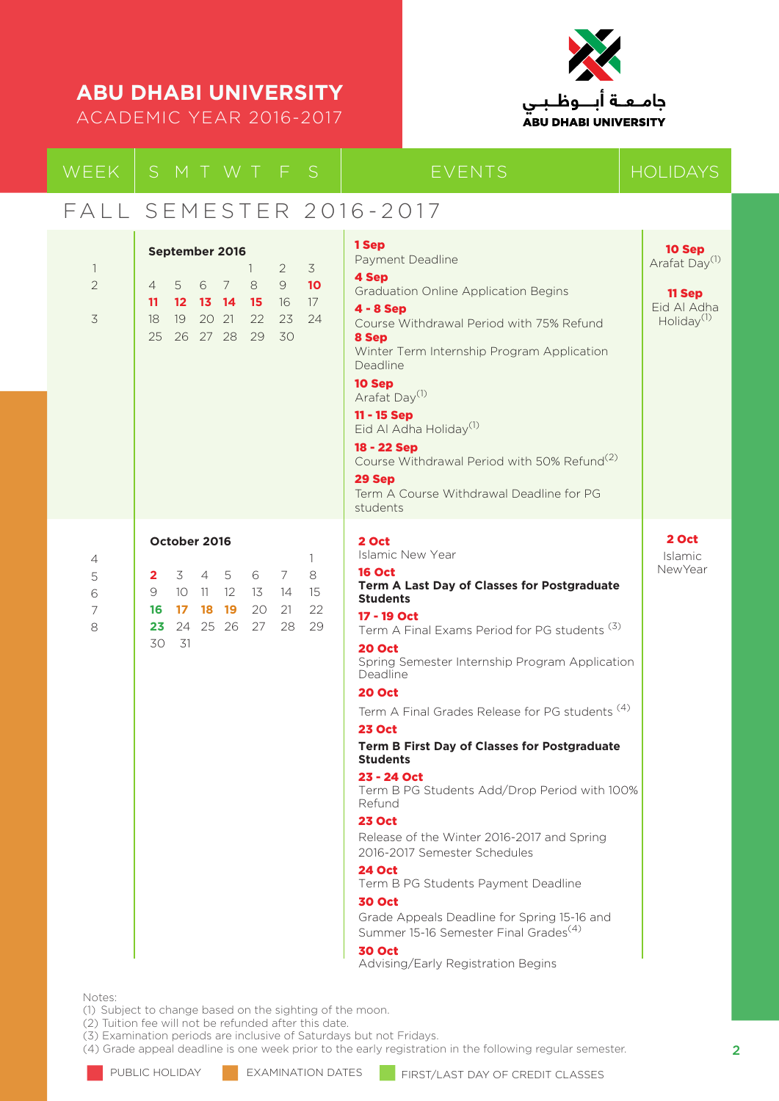ACADEMIC YEAR 2016-2017



|                                                         | WEEK SMTWTFS                                                                                                                                                                    |                                     | <b>EVENTS</b>                                                                                                                                                                                                                                                                                                                                                                                                                                                                                                                                                                                                                                                                                                                                                                                                                                                | <b>HOLIDAYS</b>                                                                        |
|---------------------------------------------------------|---------------------------------------------------------------------------------------------------------------------------------------------------------------------------------|-------------------------------------|--------------------------------------------------------------------------------------------------------------------------------------------------------------------------------------------------------------------------------------------------------------------------------------------------------------------------------------------------------------------------------------------------------------------------------------------------------------------------------------------------------------------------------------------------------------------------------------------------------------------------------------------------------------------------------------------------------------------------------------------------------------------------------------------------------------------------------------------------------------|----------------------------------------------------------------------------------------|
|                                                         | FALL SEMESTER 2016-2017                                                                                                                                                         |                                     |                                                                                                                                                                                                                                                                                                                                                                                                                                                                                                                                                                                                                                                                                                                                                                                                                                                              |                                                                                        |
| $\overline{\phantom{a}}$<br>$\overline{2}$<br>$\preceq$ | September 2016<br>1.<br>$\overline{2}$<br>$\Theta$<br>7<br>8<br>5<br>6<br>$\overline{4}$<br>12 13 14 15<br>16<br>11<br>20 21<br>22<br>19<br>23<br>18<br>26 27 28 29<br>25<br>30 | $\overline{3}$<br>10<br>17<br>24    | 1 Sep<br>Payment Deadline<br>4 Sep<br><b>Graduation Online Application Begins</b><br>$4 - 8$ Sep<br>Course Withdrawal Period with 75% Refund<br>8 Sep<br>Winter Term Internship Program Application<br>Deadline<br>10 Sep<br>Arafat Day <sup>(1)</sup><br>11 - 15 Sep<br>Eid Al Adha Holiday <sup>(1)</sup><br>18 - 22 Sep<br>Course Withdrawal Period with 50% Refund <sup>(2)</sup><br>29 Sep<br>Term A Course Withdrawal Deadline for PG<br>students                                                                                                                                                                                                                                                                                                                                                                                                      | 10 Sep<br>Arafat Day <sup>(1)</sup><br>11 Sep<br>Eid Al Adha<br>Holiday <sup>(1)</sup> |
| 4<br>5<br>6<br>7<br>8                                   | October 2016<br>6 7<br>3 4 5<br>$\mathbf{2}^-$<br>9<br>10<br>11<br>$12 \overline{ }$<br>14<br>13<br>16 17 18 19<br>20<br>21<br>23 24 25 26 27<br>28<br>30<br>- 31               | $\mathbf{1}$<br>8<br>15<br>22<br>29 | 2 Oct<br><b>Islamic New Year</b><br><b>16 Oct</b><br>Term A Last Day of Classes for Postgraduate<br><b>Students</b><br>17 - 19 Oct<br>Term A Final Exams Period for PG students <sup>(3)</sup><br><b>20 Oct</b><br>Spring Semester Internship Program Application<br>Deadline<br><b>20 Oct</b><br>Term A Final Grades Release for PG students <sup>(4)</sup><br><b>23 Oct</b><br>Term B First Day of Classes for Postgraduate<br><b>Students</b><br>23 - 24 Oct<br>Term B PG Students Add/Drop Period with 100%<br>Refund<br><b>23 Oct</b><br>Release of the Winter 2016-2017 and Spring<br>2016-2017 Semester Schedules<br><b>24 Oct</b><br>Term B PG Students Payment Deadline<br><b>30 Oct</b><br>Grade Appeals Deadline for Spring 15-16 and<br>Summer 15-16 Semester Final Grades <sup>(4)</sup><br><b>30 Oct</b><br>Advising/Early Registration Begins | 2 Oct<br>Islamic<br><b>NewYear</b>                                                     |

Notes:

(1) Subject to change based on the sighting of the moon.

(2) Tuition fee will not be refunded after this date.

(3) Examination periods are inclusive of Saturdays but not Fridays.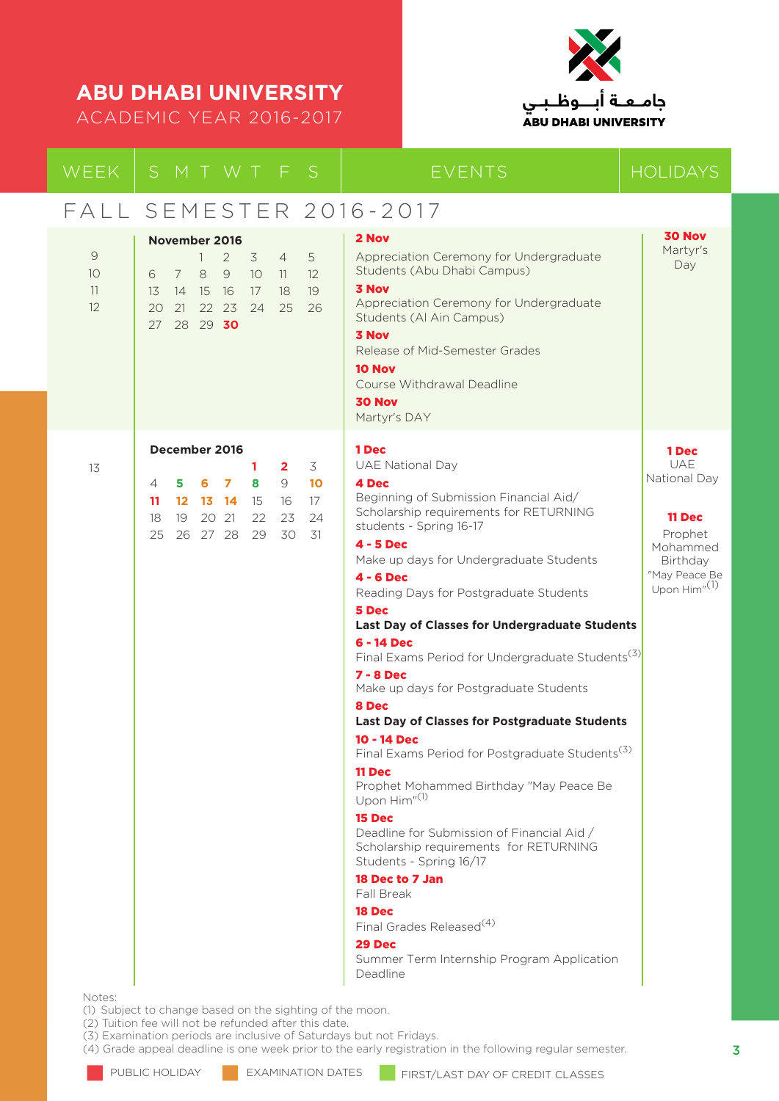ACADEMIC YEAR 2016-2017



| WEEK                | SMTWTFS                                                                                                                                                                                                                       | <b>EVENTS</b>                                                                                                                                                                                                                                                                                                                                                                                                                                                                                                                                                                                                                                                                                                                                                                                                                                                                                                                                                                                        | <b>HOLIDAYS</b>                                                                                                                      |
|---------------------|-------------------------------------------------------------------------------------------------------------------------------------------------------------------------------------------------------------------------------|------------------------------------------------------------------------------------------------------------------------------------------------------------------------------------------------------------------------------------------------------------------------------------------------------------------------------------------------------------------------------------------------------------------------------------------------------------------------------------------------------------------------------------------------------------------------------------------------------------------------------------------------------------------------------------------------------------------------------------------------------------------------------------------------------------------------------------------------------------------------------------------------------------------------------------------------------------------------------------------------------|--------------------------------------------------------------------------------------------------------------------------------------|
|                     | FALL SEMESTER 2016-2017                                                                                                                                                                                                       |                                                                                                                                                                                                                                                                                                                                                                                                                                                                                                                                                                                                                                                                                                                                                                                                                                                                                                                                                                                                      |                                                                                                                                      |
| 9<br>10<br>11<br>12 | November 2016<br>$\overline{2}$<br>3 <sup>7</sup><br>$\overline{4}$<br>5<br>1<br>8<br>9<br>10 <sup>°</sup><br>6<br>7<br>11<br>12<br>18<br>19<br>13<br>14 15 16<br>17<br>22 23<br>24<br>25<br>26<br>20<br>21<br>28 29 30<br>27 | 2 Nov<br>Appreciation Ceremony for Undergraduate<br>Students (Abu Dhabi Campus)<br><b>3 Nov</b><br>Appreciation Ceremony for Undergraduate<br>Students (Al Ain Campus)<br><b>3 Nov</b><br>Release of Mid-Semester Grades<br>10 Nov<br>Course Withdrawal Deadline<br><b>30 Nov</b><br>Martyr's DAY                                                                                                                                                                                                                                                                                                                                                                                                                                                                                                                                                                                                                                                                                                    | <b>30 Nov</b><br>Martyr's<br>Day                                                                                                     |
| 13<br>Notes:        | December 2016<br>3<br>1<br>$\mathbf{2}$<br>9<br>6<br>$\overline{z}$<br>10 <sup>2</sup><br>5<br>8<br>4<br>12 13 14<br>15<br>16<br>17<br>11<br>20 21<br>22<br>23<br>24<br>18<br>19<br>30<br>25<br>26 27 28<br>29<br>31          | 1 Dec<br><b>UAE National Day</b><br>4 Dec<br>Beginning of Submission Financial Aid/<br>Scholarship requirements for RETURNING<br>students - Spring 16-17<br>4 - 5 Dec<br>Make up days for Undergraduate Students<br><b>4 - 6 Dec</b><br>Reading Days for Postgraduate Students<br>5 Dec<br>Last Day of Classes for Undergraduate Students<br>6 - 14 Dec<br>Final Exams Period for Undergraduate Students <sup>(3)</sup><br>$7 - 8$ Dec<br>Make up days for Postgraduate Students<br>8 Dec<br><b>Last Day of Classes for Postgraduate Students</b><br>10 - 14 Dec<br>Final Exams Period for Postgraduate Students <sup>(3)</sup><br>11 Dec<br>Prophet Mohammed Birthday "May Peace Be<br>Upon Him" <sup>(1)</sup><br>15 Dec<br>Deadline for Submission of Financial Aid /<br>Scholarship requirements for RETURNING<br>Students - Spring 16/17<br>18 Dec to 7 Jan<br>Fall Break<br>18 Dec<br>Final Grades Released <sup>(4)</sup><br>29 Dec<br>Summer Term Internship Program Application<br>Deadline | 1 Dec<br><b>UAE</b><br>National Day<br><b>11 Dec</b><br>Prophet<br>Mohammed<br>Birthday<br>"May Peace Be<br>Upon Him" <sup>(1)</sup> |

(1) Subject to change based on the sighting of the moon.

(2) Tuition fee will not be refunded after this date.

(3) Examination periods are inclusive of Saturdays but not Fridays.

(4) Grade appeal deadline is one week prior to the early registration in the following regular semester.

PUBLIC HOLIDAY **EXAMINATION DATES** FIRST/LAST DAY OF CREDIT CLASSES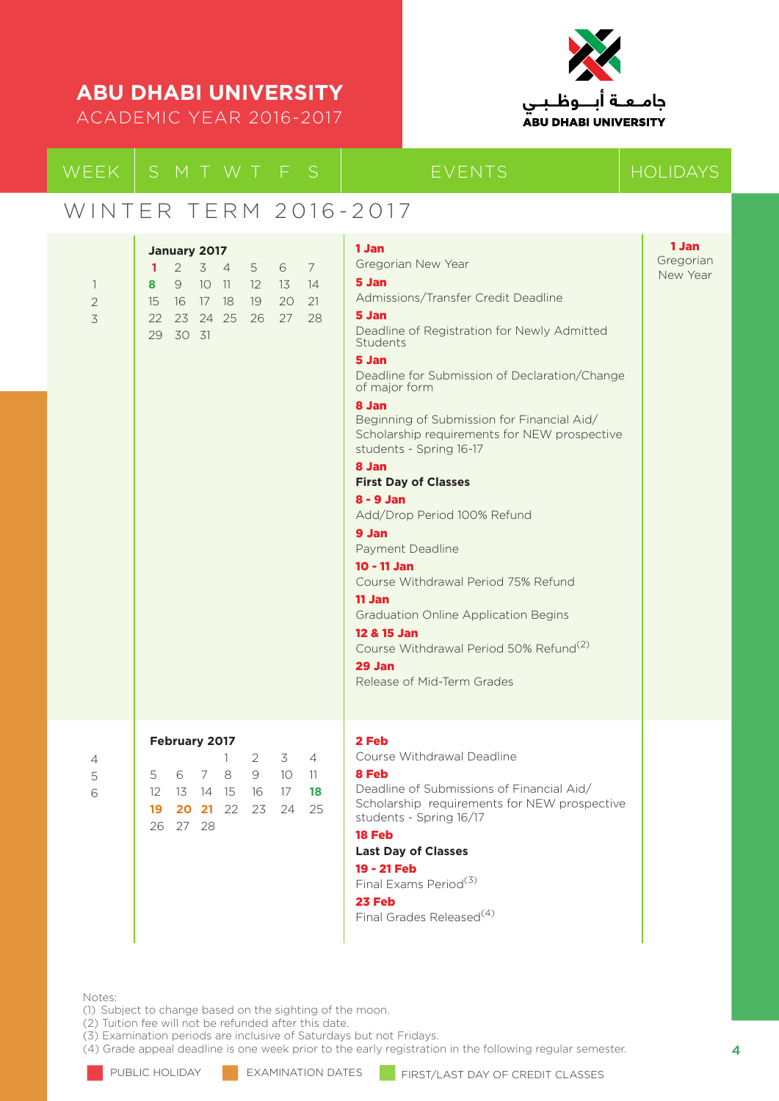ACADEMIC YEAR 2016-2017



### WINTER TERM 2016-2017

| $\overline{\phantom{a}}$<br>$\overline{2}$<br>$\overline{3}$ | January 2017<br>$\overline{7}$<br>$2^{\circ}$<br>3 <sub>4</sub><br>6<br>$\mathbf{1}$<br>5<br>8<br>9<br>$10 \quad 11$<br>$12 \overline{ }$<br>- 13<br>14<br>21<br>20<br>15<br>16<br>17 18<br>19<br>23 24 25<br>27<br>28<br>22<br>26<br>30 31<br>29 | 1 Jan<br>Gregorian New Year<br>5 Jan<br>Admissions/Transfer Credit Deadline<br>5 Jan<br>Deadline of Registration for Newly Admitted<br>Students<br>5 Jan<br>Deadline for Submission of Declaration/Change<br>of major form<br>8 Jan<br>Beginning of Submission for Financial Aid/<br>Scholarship requirements for NEW prospective<br>students - Spring 16-17<br>8 Jan<br><b>First Day of Classes</b><br>$8 - 9$ Jan<br>Add/Drop Period 100% Refund<br>9 Jan<br>Payment Deadline<br>$10 - 11$ Jan<br>Course Withdrawal Period 75% Refund<br>11 Jan<br><b>Graduation Online Application Begins</b><br>12 & 15 Jan<br>Course Withdrawal Period 50% Refund <sup>(2)</sup><br>29 Jan<br>Release of Mid-Term Grades | 1 Jan<br>Gregorian<br>New Year |
|--------------------------------------------------------------|---------------------------------------------------------------------------------------------------------------------------------------------------------------------------------------------------------------------------------------------------|---------------------------------------------------------------------------------------------------------------------------------------------------------------------------------------------------------------------------------------------------------------------------------------------------------------------------------------------------------------------------------------------------------------------------------------------------------------------------------------------------------------------------------------------------------------------------------------------------------------------------------------------------------------------------------------------------------------|--------------------------------|
|                                                              |                                                                                                                                                                                                                                                   |                                                                                                                                                                                                                                                                                                                                                                                                                                                                                                                                                                                                                                                                                                               |                                |
| 4<br>5<br>6                                                  | February 2017<br>3<br>2<br>$\overline{4}$<br>1.<br>5<br>$7\overline{ }$<br>8<br>9<br>10 <sup>°</sup><br>6<br>11<br>$12 \overline{ }$<br>13<br>14 15<br>16<br>17<br>18<br>20 21 22<br>23<br>24<br>25<br>19<br>26 27 28                             | 2 Feb<br>Course Withdrawal Deadline<br>8 Feb<br>Deadline of Submissions of Financial Aid/<br>Scholarship requirements for NEW prospective<br>students - Spring 16/17<br>18 Feb<br><b>Last Day of Classes</b><br>19 - 21 Feb<br>Final Exams Period <sup>(3)</sup><br>23 Feb<br>Final Grades Released <sup>(4)</sup>                                                                                                                                                                                                                                                                                                                                                                                            |                                |

Notes:

(1) Subject to change based on the sighting of the moon.

(2) Tuition fee will not be refunded after this date.

(3) Examination periods are inclusive of Saturdays but not Fridays.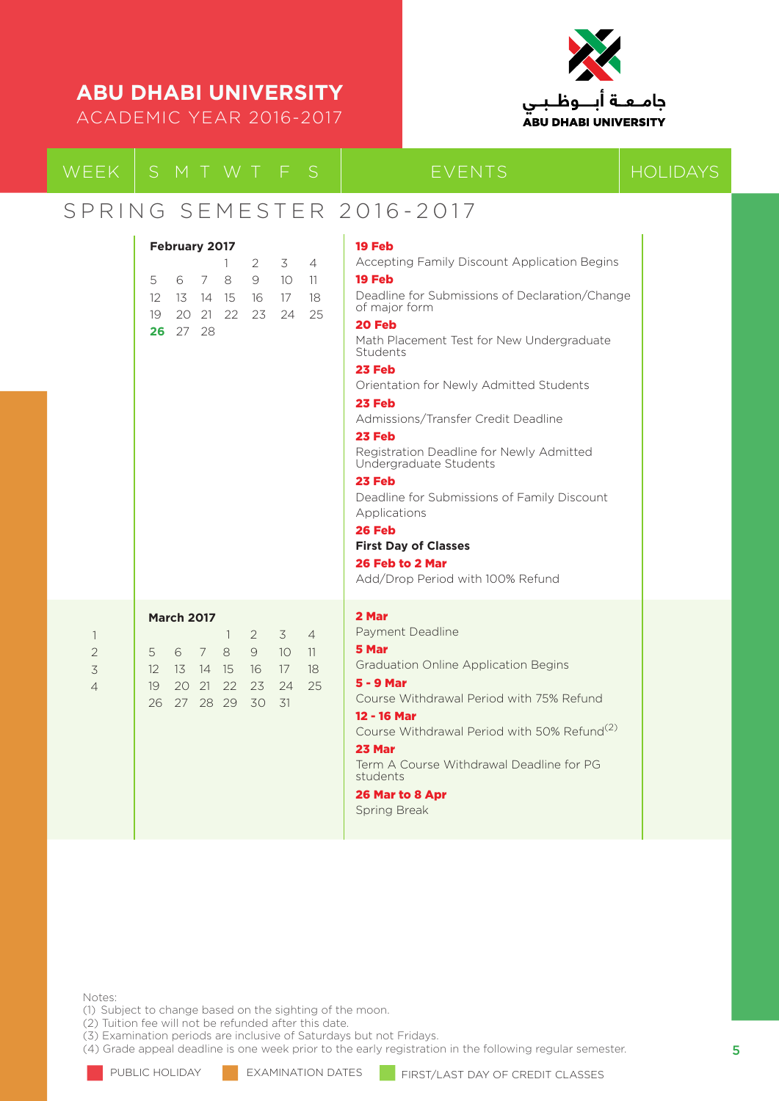ACADEMIC YEAR 2016-2017



### SPRING SEMESTER 2016-2017

|                                                       | February 2017                                                                                                                                                                                                                                            | 19 Feb                                                                                                                                                                                                                                                                                                                                                                                                                                                                                                                                                      |
|-------------------------------------------------------|----------------------------------------------------------------------------------------------------------------------------------------------------------------------------------------------------------------------------------------------------------|-------------------------------------------------------------------------------------------------------------------------------------------------------------------------------------------------------------------------------------------------------------------------------------------------------------------------------------------------------------------------------------------------------------------------------------------------------------------------------------------------------------------------------------------------------------|
|                                                       | 3<br>$\overline{4}$<br>2<br>L<br>8<br>9<br>5<br>6<br>7<br>10 <sup>°</sup><br>11<br>16<br>17<br>18<br>12 <sup>2</sup><br>- 13<br>14 15<br>23<br>25<br>19<br>20 21 22<br>24<br>26 27 28                                                                    | Accepting Family Discount Application Begins<br>19 Feb<br>Deadline for Submissions of Declaration/Change<br>of major form<br>20 Feb<br>Math Placement Test for New Undergraduate<br>Students<br>23 Feb<br>Orientation for Newly Admitted Students<br>23 Feb<br>Admissions/Transfer Credit Deadline<br>23 Feb<br>Registration Deadline for Newly Admitted<br>Undergraduate Students<br>23 Feb<br>Deadline for Submissions of Family Discount<br>Applications<br>26 Feb<br><b>First Day of Classes</b><br>26 Feb to 2 Mar<br>Add/Drop Period with 100% Refund |
| $\mathbf{1}$<br>$\overline{2}$<br>3<br>$\overline{4}$ | <b>March 2017</b><br>$\overline{4}$<br>$\overline{1}$<br>2<br>3<br>5<br>$\overline{7}$<br>8<br>9<br>10 <sup>°</sup><br>6<br>11<br>18<br>12 <sup>°</sup><br>13 14<br>-15<br>16<br>17<br>22<br>25<br>19<br>20 21<br>23<br>24<br>27 28 29<br>30<br>31<br>26 | 2 Mar<br>Payment Deadline<br>5 Mar<br><b>Graduation Online Application Begins</b><br>$5 - 9$ Mar<br>Course Withdrawal Period with 75% Refund<br>12 - 16 Mar<br>Course Withdrawal Period with 50% Refund <sup>(2)</sup><br>23 Mar<br>Term A Course Withdrawal Deadline for PG<br>students<br>26 Mar to 8 Apr<br>Spring Break                                                                                                                                                                                                                                 |

Notes:

(1) Subject to change based on the sighting of the moon.

(2) Tuition fee will not be refunded after this date.

(3) Examination periods are inclusive of Saturdays but not Fridays.

(4) Grade appeal deadline is one week prior to the early registration in the following regular semester.

PUBLIC HOLIDAY **EXAMINATION DATES FIRST/LAST DAY OF CREDIT CLASSES**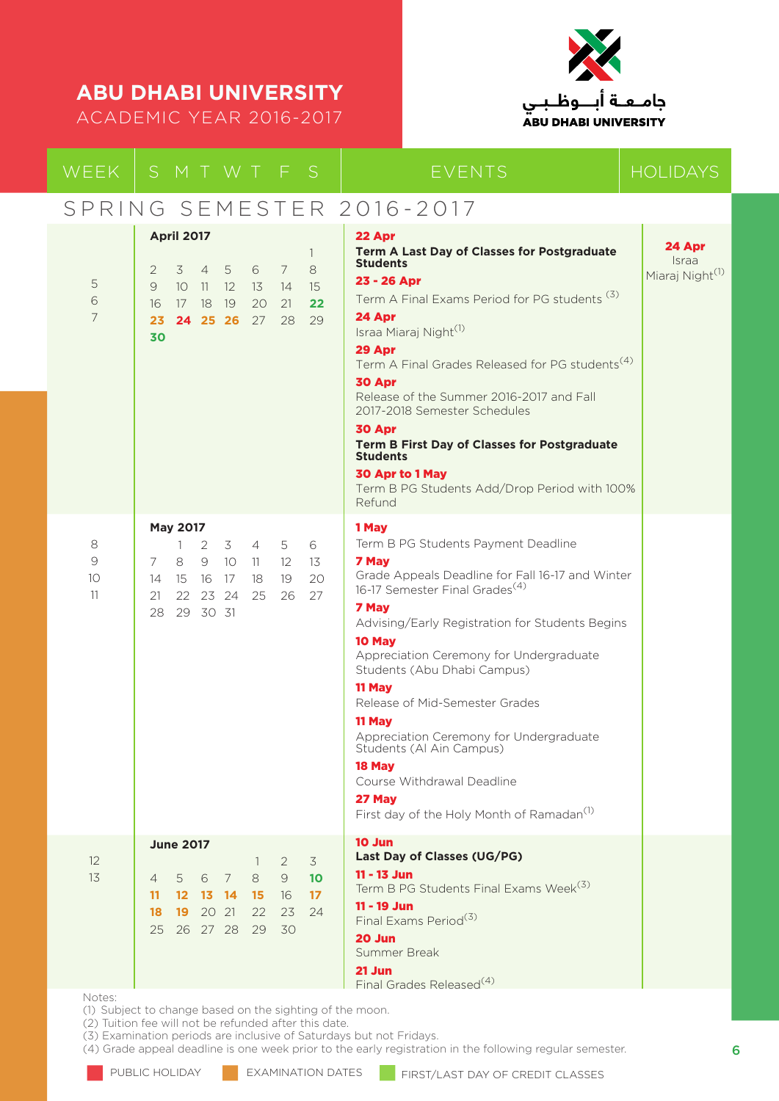ACADEMIC YEAR 2016-2017



### WEEK SMIWIFS BEVENTS HOLIDAYS

### SPRING SEMESTER 2016-2017 5 6 7 8 9  $1<sup>0</sup>$ 11 12 13 **April 2017** 1 2 3 4 5 6 7 8 9 10 11 12 13 14 15 16 17 18 19 20 21 **22 23 24 25 26** 27 28 29 **30 May 2017** 1 2 3 4 5 6 7 8 9 10 11 12 13 14 15 16 17 18 19 20 21 22 23 24 25 26 27 28 29 30 31 **June 2017** 1 2 3 4 5 6 7 8 9 **10 11 12 13 14 15** 16 **17 18 19** 20 21 22 23 24 25 26 27 28 29 30 22 Apr **Term A Last Day of Classes for Postgraduate Students**  23 - 26 Apr Term A Final Exams Period for PG students (3) 24 Apr Israa Miaraj Night<sup>(1)</sup> 29 Apr Term A Final Grades Released for PG students<sup>(4)</sup> 30 Apr Release of the Summer 2016-2017 and Fall 2017-2018 Semester Schedules 30 Apr **Term B First Day of Classes for Postgraduate Students**  30 Apr to 1 May Term B PG Students Add/Drop Period with 100% Refund 1 May Term B PG Students Payment Deadline 7 May Grade Appeals Deadline for Fall 16-17 and Winter 16-17 Semester Final Grades<sup>(4)</sup> 7 May Advising/Early Registration for Students Begins 10 May Appreciation Ceremony for Undergraduate Students (Abu Dhabi Campus) 11 May Release of Mid-Semester Grades 11 May Appreciation Ceremony for Undergraduate Students (Al Ain Campus) 18 May Course Withdrawal Deadline 27 May First day of the Holy Month of Ramadan<sup>(1)</sup> 10 Jun **Last Day of Classes (UG/PG)** 11 - 13 Jun Term B PG Students Final Exams Week<sup>(3)</sup> 11 - 19 Jun Final Exams Period(3) 20 Jun Summer Break 21 Jun 24 Apr Israa Miaraj Night<sup>(1)</sup>

Notes:

(1) Subject to change based on the sighting of the moon.

(2) Tuition fee will not be refunded after this date.

(3) Examination periods are inclusive of Saturdays but not Fridays.

(4) Grade appeal deadline is one week prior to the early registration in the following regular semester.

Final Grades Released<sup>(4)</sup>